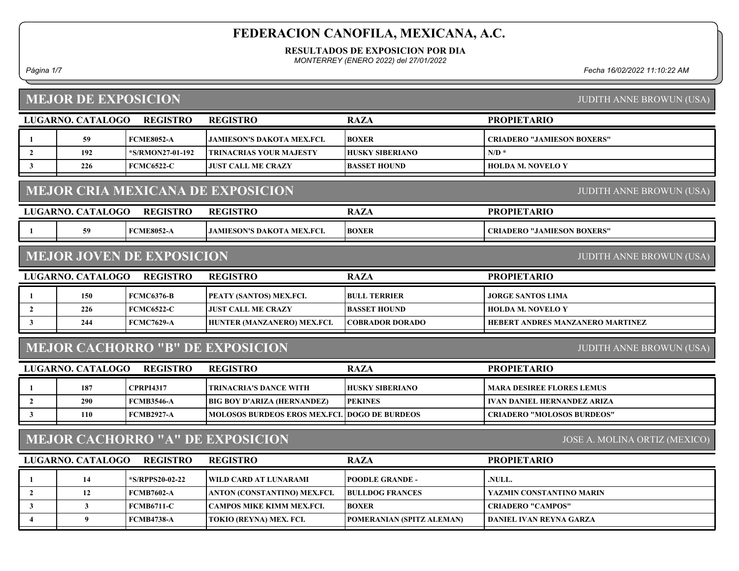#### RESULTADOS DE EXPOSICION POR DIA

MONTERREY (ENERO 2022) del 27/01/2022

Página 1/7 Fecha 16/02/2022 11:10:22 AM

| <b>MEJOR DE EXPOSICION</b> |                            |                                  |                                          |                           | <b>JUDITH ANNE BROWUN (USA)</b>    |
|----------------------------|----------------------------|----------------------------------|------------------------------------------|---------------------------|------------------------------------|
|                            | LUGARNO. CATALOGO          | <b>REGISTRO</b>                  | <b>REGISTRO</b>                          | <b>RAZA</b>               | <b>PROPIETARIO</b>                 |
| -1                         | 59                         | <b>FCME8052-A</b>                | JAMIESON'S DAKOTA MEX.FCI.               | <b>BOXER</b>              | <b>CRIADERO "JAMIESON BOXERS"</b>  |
| $\overline{2}$             | 192                        | *S/RMON27-01-192                 | <b>TRINACRIAS YOUR MAJESTY</b>           | <b>HUSKY SIBERIANO</b>    | $N/D$ *                            |
| $\mathbf{3}$               | 226                        | <b>FCMC6522-C</b>                | <b>JUST CALL ME CRAZY</b>                | <b>BASSET HOUND</b>       | <b>HOLDA M. NOVELO Y</b>           |
|                            |                            |                                  | <b>MEJOR CRIA MEXICANA DE EXPOSICION</b> |                           | <b>JUDITH ANNE BROWUN (USA)</b>    |
|                            | LUGARNO. CATALOGO          | <b>REGISTRO</b>                  | <b>REGISTRO</b>                          | <b>RAZA</b>               | <b>PROPIETARIO</b>                 |
| -1                         | 59                         | <b>FCME8052-A</b>                | <b>JAMIESON'S DAKOTA MEX.FCI.</b>        | <b>BOXER</b>              | <b>CRIADERO "JAMIESON BOXERS"</b>  |
|                            |                            | <b>MEJOR JOVEN DE EXPOSICION</b> |                                          |                           | <b>JUDITH ANNE BROWUN (USA)</b>    |
|                            | LUGARNO. CATALOGO          | <b>REGISTRO</b>                  | <b>REGISTRO</b>                          | <b>RAZA</b>               | <b>PROPIETARIO</b>                 |
| -1                         | 150                        | <b>FCMC6376-B</b>                | PEATY (SANTOS) MEX.FCI.                  | <b>BULL TERRIER</b>       | <b>JORGE SANTOS LIMA</b>           |
| $\overline{2}$             | 226                        | <b>FCMC6522-C</b>                | <b>JUST CALL ME CRAZY</b>                | <b>BASSET HOUND</b>       | <b>HOLDA M. NOVELO Y</b>           |
| $\mathbf{3}$               | 244                        | <b>FCMC7629-A</b>                | HUNTER (MANZANERO) MEX.FCI.              | <b>COBRADOR DORADO</b>    | HEBERT ANDRES MANZANERO MARTINEZ   |
|                            |                            |                                  | <b>MEJOR CACHORRO "B" DE EXPOSICION</b>  |                           | <b>JUDITH ANNE BROWUN (USA)</b>    |
|                            | LUGARNO. CATALOGO REGISTRO |                                  | <b>REGISTRO</b>                          | <b>RAZA</b>               | <b>PROPIETARIO</b>                 |
| -1                         | 187                        | <b>CPRPI4317</b>                 | <b>TRINACRIA'S DANCE WITH</b>            | <b>HUSKY SIBERIANO</b>    | <b>MARA DESIREE FLORES LEMUS</b>   |
| $\overline{2}$             | 290                        | <b>FCMB3546-A</b>                | <b>BIG BOY D'ARIZA (HERNANDEZ)</b>       | <b>PEKINES</b>            | <b>IVAN DANIEL HERNANDEZ ARIZA</b> |
| $\mathbf{3}$               | <b>110</b>                 | <b>FCMB2927-A</b>                | <b>MOLOSOS BURDEOS EROS MEX.FCL</b>      | <b>DOGO DE BURDEOS</b>    | <b>CRIADERO "MOLOSOS BURDEOS"</b>  |
|                            |                            |                                  | <b>MEJOR CACHORRO "A" DE EXPOSICION</b>  |                           | JOSE A. MOLINA ORTIZ (MEXICO)      |
|                            | <b>LUGARNO. CATALOGO</b>   | <b>REGISTRO</b>                  | <b>REGISTRO</b>                          | <b>RAZA</b>               | <b>PROPIETARIO</b>                 |
| 1                          | 14                         | *S/RPPS20-02-22                  | WILD CARD AT LUNARAMI                    | <b>POODLE GRANDE -</b>    | .NULL.                             |
| $\overline{2}$             | 12                         | <b>FCMB7602-A</b>                | ANTON (CONSTANTINO) MEX.FCI.             | <b>BULLDOG FRANCES</b>    | YAZMIN CONSTANTINO MARIN           |
| $\mathbf{3}$               | $\mathbf{3}$               | <b>FCMB6711-C</b>                | <b>CAMPOS MIKE KIMM MEX.FCI.</b>         | <b>BOXER</b>              | <b>CRIADERO "CAMPOS"</b>           |
| $\overline{4}$             | 9                          | <b>FCMB4738-A</b>                | TOKIO (REYNA) MEX. FCI.                  | POMERANIAN (SPITZ ALEMAN) | DANIEL IVAN REYNA GARZA            |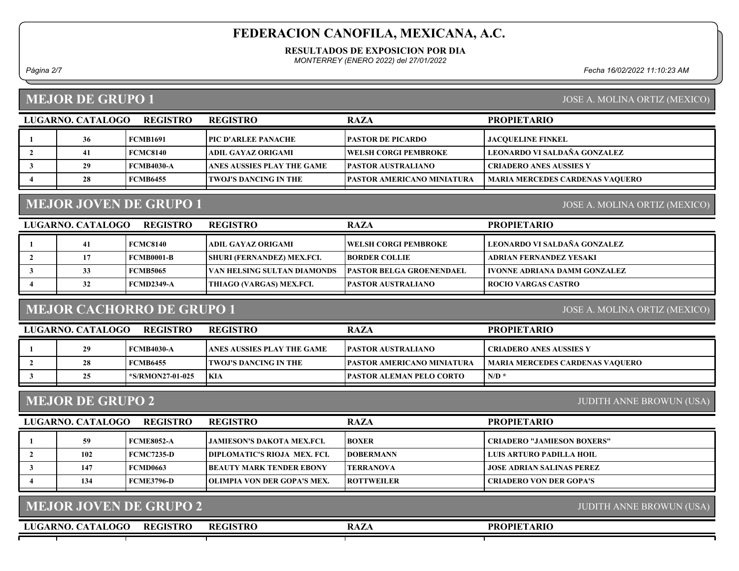#### RESULTADOS DE EXPOSICION POR DIA

MONTERREY (ENERO 2022) del 27/01/2022

Página 2/7 Fecha 16/02/2022 11:10:23 AM

## MEJOR DE GRUPO 1

| JOSE A. MOLINA ORTIZ (MEXICO) |  |
|-------------------------------|--|
|                               |  |

| LUGARNO. CATALOGO | <b>REGISTRO</b>   | <b>REGISTRO</b>              | <b>RAZA</b>                  | <b>PROPIETARIO</b>                     |
|-------------------|-------------------|------------------------------|------------------------------|----------------------------------------|
| 36                | <b>FCMB1691</b>   | <b>  PIC D'ARLEE PANACHE</b> | <b>PASTOR DE PICARDO</b>     | <b>JACOUELINE FINKEL</b>               |
|                   | FCMC8140          | ADIL GAYAZ ORIGAMI           | <b>TWELSH CORGI PEMBROKE</b> | LEONARDO VI SALDAÑA GONZALEZ           |
| 29                | <b>FCMB4030-A</b> | ANES AUSSIES PLAY THE GAME   | <b>PASTOR AUSTRALIANO</b>    | <b>CRIADERO ANES AUSSIES Y</b>         |
| 28                | <b>FCMB6455</b>   | <b>TWOJ'S DANCING IN THE</b> | PASTOR AMERICANO MINIATURA   | <b>MARIA MERCEDES CARDENAS VAQUERO</b> |

# MEJOR JOVEN DE GRUPO 1

JOSE A. MOLINA ORTIZ (MEXICO)

| LUGARNO. CATALOGO | <b>REGISTRO</b>   | <b>REGISTRO</b>                   | <b>RAZA</b>                      | <b>PROPIETARIO</b>                  |
|-------------------|-------------------|-----------------------------------|----------------------------------|-------------------------------------|
| 41                | <b>FCMC8140</b>   | ADIL GAYAZ ORIGAMI                | <b>TWELSH CORGI PEMBROKE</b>     | LEONARDO VI SALDAÑA GONZALEZ        |
| 17                | <b>FCMB0001-B</b> | <b>SHURI (FERNANDEZ) MEX.FCI.</b> | <b>IBORDER COLLIE</b>            | ADRIAN FERNANDEZ YESAKI             |
| 33                | <b>FCMB5065</b>   | VAN HELSING SULTAN DIAMONDS       | <b>TPASTOR BELGA GROENENDAEL</b> | <b>IVONNE ADRIANA DAMM GONZALEZ</b> |
| 32                | FCMD2349-A        | THIAGO (VARGAS) MEX.FCI.          | <b>IPASTOR AUSTRALIANO</b>       | <b>ROCIO VARGAS CASTRO</b>          |

## MEJOR CACHORRO DE GRUPO 1

JOSE A. MOLINA ORTIZ (MEXICO)

| LUGARNO. CATALOGO | REGISTRO         | <b>REGISTRO</b>            | <b>RAZA</b>                        | <b>PROPIETARIO</b>              |
|-------------------|------------------|----------------------------|------------------------------------|---------------------------------|
| 29                | FCMB4030-A       | ANES AUSSIES PLAY THE GAME | <b>IPASTOR AUSTRALIANO</b>         | CRIADERO ANES AUSSIES Y         |
| 28                | FCMB6455         | TWOJ'S DANCING IN THE      | <b>TPASTOR AMERICANO MINIATURA</b> | MARIA MERCEDES CARDENAS VAOUERO |
| 25                | *S/RMON27-01-025 | <b>KIA</b>                 | <b>IPASTOR ALEMAN PELO CORTO</b>   | N/D                             |
|                   |                  |                            |                                    |                                 |

## MEJOR DE GRUPO 2

JUDITH ANNE BROWUN (USA)

| LUGARNO, CATALOGO | <b>REGISTRO</b> | <b>REGISTRO</b>                     | <b>RAZA</b>       | <b>PROPIETARIO</b>                |
|-------------------|-----------------|-------------------------------------|-------------------|-----------------------------------|
| 59                | FCME8052-A      | JAMIESON'S DAKOTA MEX.FCI.          | <b>BOXER</b>      | <b>CRIADERO "JAMIESON BOXERS"</b> |
| 102               | FCMC7235-D      | DIPLOMATIC'S RIOJA MEX. FCI.        | <b>IDOBERMANN</b> | I LUIS ARTURO PADILLA HOIL        |
| 147               | FCMD0663        | BEAUTY MARK TENDER EBONY            | <b>TERRANOVA</b>  | <b>JOSE ADRIAN SALINAS PEREZ</b>  |
| 134               | FCME3796-D      | <b>TOLIMPIA VON DER GOPA'S MEX.</b> | <b>ROTTWEILER</b> | <b>CRIADERO VON DER GOPA'S</b>    |

| <b>MEJOR JOVEN DE GRUPO 2</b>        | JUDITH ANNE BROWUN (USA) |             |                    |  |
|--------------------------------------|--------------------------|-------------|--------------------|--|
| <b>REGISTRO</b><br>LUGARNO, CATALOGO | <b>REGISTRO</b>          | <b>RAZA</b> | <b>PROPIETARIO</b> |  |
|                                      |                          |             |                    |  |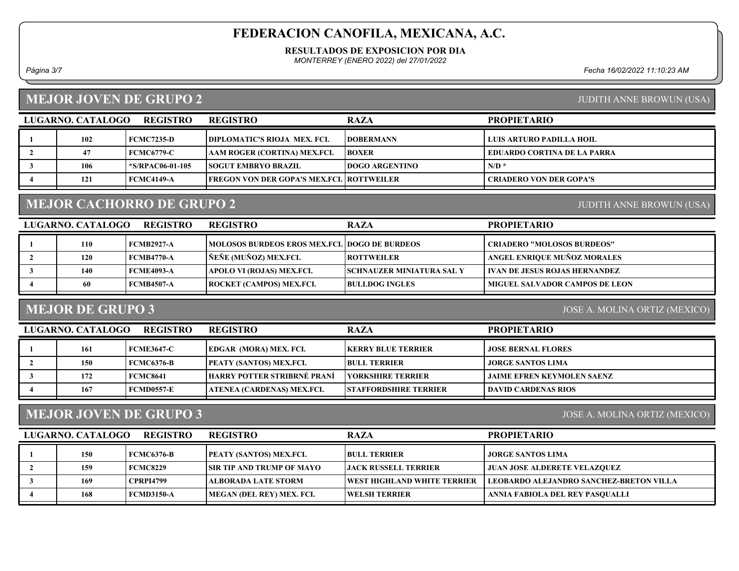#### RESULTADOS DE EXPOSICION POR DIA

MONTERREY (ENERO 2022) del 27/01/2022

Página 3/7 Fecha 16/02/2022 11:10:23 AM

## MEJOR JOVEN DE GRUPO 2

## JUDITH ANNE BROWUN (USA)

| LUGARNO. CATALOGO | <b>REGISTRO</b>    | <b>REGISTRO</b>                                   | <b>RAZA</b>            | <b>PROPIETARIO</b>          |
|-------------------|--------------------|---------------------------------------------------|------------------------|-----------------------------|
| 102               | FCMC7235-D         | <b>DIPLOMATIC'S RIOJA MEX. FCI.</b>               | <b>IDOBERMANN</b>      | LUIS ARTURO PADILLA HOIL    |
| 47                | <b>FCMC6779-C</b>  | AAM ROGER (CORTINA) MEX.FCI.                      | <b>BOXER</b>           | EDUARDO CORTINA DE LA PARRA |
| 106               | $*S/RPAC06-01-105$ | <b>ISOGUT EMBRYO BRAZIL</b>                       | <b>IDOGO ARGENTINO</b> | N/D                         |
| 121               | FCMC4149-A         | <b>FREGON VON DER GOPA'S MEX.FCL   ROTTWEILER</b> |                        | CRIADERO VON DER GOPA'S     |
|                   |                    |                                                   |                        |                             |

## MEJOR CACHORRO DE GRUPO 2

#### JUDITH ANNE BROWUN (USA)

| LUGARNO. CATALOGO | <b>REGISTRO</b>   | <b>REGISTRO</b>                                          | <b>RAZA</b>                       | <b>PROPIETARIO</b>                    |
|-------------------|-------------------|----------------------------------------------------------|-----------------------------------|---------------------------------------|
| 110               | <b>FCMB2927-A</b> | <b> MOLOSOS BURDEOS EROS MEX.FCL   DOGO DE BURDEOS  </b> |                                   | <b>CRIADERO "MOLOSOS BURDEOS"</b>     |
| 120               | <b>FCMB4770-A</b> | ÑEÑE (MUÑOZ) MEX.FCI.                                    | <b>ROTTWEILER</b>                 | ANGEL ENRIQUE MUÑOZ MORALES           |
| 140               | <b>FCME4093-A</b> | APOLO VI (ROJAS) MEX.FCI.                                | <b>ISCHNAUZER MINIATURA SAL Y</b> | <b>IVAN DE JESUS ROJAS HERNANDEZ</b>  |
| 60                | FCMB4507-A        | ROCKET (CAMPOS) MEX.FCI.                                 | <b>BULLDOG INGLES</b>             | <b>MIGUEL SALVADOR CAMPOS DE LEON</b> |

## MEJOR DE GRUPO 3

JOSE A. MOLINA ORTIZ (MEXICO)

| LUGARNO. CATALOGO | <b>REGISTRO</b> | <b>REGISTRO</b>                    | <b>RAZA</b>                  | <b>PROPIETARIO</b>                |
|-------------------|-----------------|------------------------------------|------------------------------|-----------------------------------|
| 161               | FCME3647-C      | <b>EDGAR (MORA) MEX. FCI.</b>      | <b>IKERRY BLUE TERRIER</b>   | <b>JOSE BERNAL FLORES</b>         |
| <b>150</b>        | FCMC6376-B      | <b>PEATY (SANTOS) MEX.FCI.</b>     | <b>BULL TERRIER</b>          | JORGE SANTOS LIMA                 |
| 172               | FCMC8641        | <b>HARRY POTTER STRIBRNÉ PRANÍ</b> | <b>TYORKSHIRE TERRIER</b>    | <b>JAIME EFREN KEYMOLEN SAENZ</b> |
| 167               | FCMD0557-E      | ATENEA (CARDENAS) MEX.FCI.         | <b>STAFFORDSHIRE TERRIER</b> | <b>DAVID CARDENAS RIOS</b>        |
|                   |                 |                                    |                              |                                   |

## MEJOR JOVEN DE GRUPO 3

JOSE A. MOLINA ORTIZ (MEXICO)

| LUGARNO. CATALOGO | <b>REGISTRO</b> | <b>REGISTRO</b>                  | <b>RAZA</b>                         | <b>PROPIETARIO</b>                      |
|-------------------|-----------------|----------------------------------|-------------------------------------|-----------------------------------------|
| <b>150</b>        | FCMC6376-B      | <b>PEATY (SANTOS) MEX.FCI.</b>   | <b>BULL TERRIER</b>                 | <b>  JORGE SANTOS LIMA</b>              |
| 159               | FCMC8229        | <b>SIR TIP AND TRUMP OF MAYO</b> | <b>LIACK RUSSELL TERRIER</b>        | <b>JUAN JOSE ALDERETE VELAZQUEZ</b>     |
| 169               | CPRPI4799       | ALBORADA LATE STORM_             | <b>TWEST HIGHLAND WHITE TERRIER</b> | LEOBARDO ALEJANDRO SANCHEZ-BRETON VILLA |
| 168               | FCMD3150-A      | MEGAN (DEL REY) MEX. FCI.        | <b>IWELSH TERRIER</b>               | ANNIA FABIOLA DEL REY PASOUALLI         |
|                   |                 |                                  |                                     |                                         |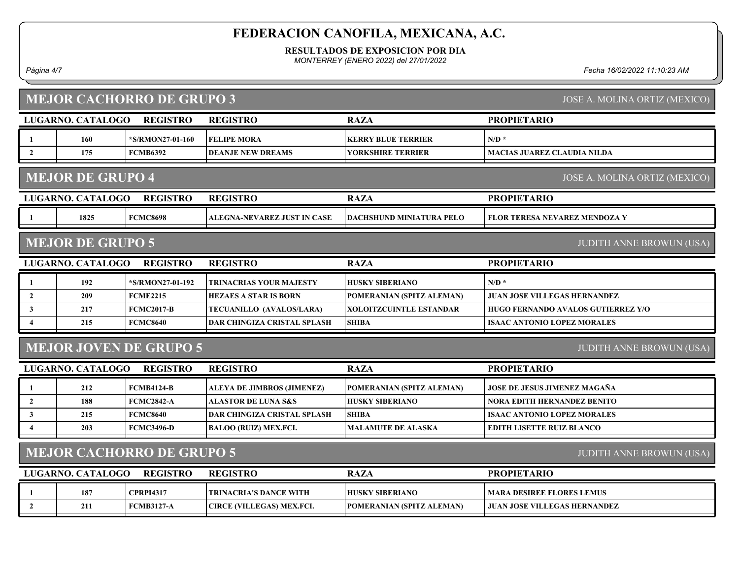#### RESULTADOS DE EXPOSICION POR DIA

MONTERREY (ENERO 2022) del 27/01/2022

Página 4/7 Fecha 16/02/2022 11:10:23 AM

# MEJOR CACHORRO DE GRUPO 3

JOSE A. MOLINA ORTIZ (MEXICO)

|                  | LUGARNO. CATALOGO                                                   | <b>REGISTRO</b>               | <b>REGISTRO</b>                    | <b>RAZA</b>                     | <b>PROPIETARIO</b>                   |  |  |
|------------------|---------------------------------------------------------------------|-------------------------------|------------------------------------|---------------------------------|--------------------------------------|--|--|
| 1                | 160                                                                 | *S/RMON27-01-160              | <b>FELIPE MORA</b>                 | <b>KERRY BLUE TERRIER</b>       | $N/D$ *                              |  |  |
| $\overline{2}$   | 175                                                                 | <b>FCMB6392</b>               | <b>DEANJE NEW DREAMS</b>           | <b>YORKSHIRE TERRIER</b>        | <b>MACIAS JUAREZ CLAUDIA NILDA</b>   |  |  |
|                  | <b>MEJOR DE GRUPO 4</b><br>JOSE A. MOLINA ORTIZ (MEXICO)            |                               |                                    |                                 |                                      |  |  |
|                  | LUGARNO. CATALOGO                                                   | <b>REGISTRO</b>               | <b>REGISTRO</b>                    | <b>RAZA</b>                     | <b>PROPIETARIO</b>                   |  |  |
|                  | 1825                                                                | <b>FCMC8698</b>               | <b>ALEGNA-NEVAREZ JUST IN CASE</b> | <b>DACHSHUND MINIATURA PELO</b> | <b>FLOR TERESA NEVAREZ MENDOZA Y</b> |  |  |
|                  | <b>MEJOR DE GRUPO 5</b>                                             |                               |                                    |                                 | <b>JUDITH ANNE BROWUN (USA)</b>      |  |  |
|                  | LUGARNO. CATALOGO                                                   | <b>REGISTRO</b>               | <b>REGISTRO</b>                    | <b>RAZA</b>                     | <b>PROPIETARIO</b>                   |  |  |
|                  | 192                                                                 | *S/RMON27-01-192              | <b>TRINACRIAS YOUR MAJESTY</b>     | <b>HUSKY SIBERIANO</b>          | $N/D$ *                              |  |  |
| $\overline{2}$   | 209                                                                 | <b>FCME2215</b>               | <b>HEZAES A STAR IS BORN</b>       | POMERANIAN (SPITZ ALEMAN)       | <b>JUAN JOSE VILLEGAS HERNANDEZ</b>  |  |  |
| 3                | 217                                                                 | <b>FCMC2017-B</b>             | TECUANILLO (AVALOS/LARA)           | <b>XOLOITZCUINTLE ESTANDAR</b>  | HUGO FERNANDO AVALOS GUTIERREZ Y/O   |  |  |
| $\boldsymbol{4}$ | 215                                                                 | <b>FCMC8640</b>               | DAR CHINGIZA CRISTAL SPLASH        | <b>SHIBA</b>                    | <b>ISAAC ANTONIO LOPEZ MORALES</b>   |  |  |
|                  |                                                                     | <b>MEJOR JOVEN DE GRUPO 5</b> |                                    |                                 | <b>JUDITH ANNE BROWUN (USA)</b>      |  |  |
|                  | LUGARNO. CATALOGO                                                   | <b>REGISTRO</b>               | <b>REGISTRO</b>                    | <b>RAZA</b>                     | <b>PROPIETARIO</b>                   |  |  |
| $\mathbf{1}$     | 212                                                                 | <b>FCMB4124-B</b>             | <b>ALEYA DE JIMBROS (JIMENEZ)</b>  | POMERANIAN (SPITZ ALEMAN)       | JOSE DE JESUS JIMENEZ MAGAÑA         |  |  |
| $\overline{2}$   | 188                                                                 | <b>FCMC2842-A</b>             | ALASTOR DE LUNA S&S                | <b>HUSKY SIBERIANO</b>          | NORA EDITH HERNANDEZ BENITO          |  |  |
| $\mathbf{3}$     | 215                                                                 | <b>FCMC8640</b>               | DAR CHINGIZA CRISTAL SPLASH        | <b>SHIBA</b>                    | <b>ISAAC ANTONIO LOPEZ MORALES</b>   |  |  |
| $\overline{4}$   | 203                                                                 | <b>FCMC3496-D</b>             | <b>BALOO (RUIZ) MEX.FCI.</b>       | <b>MALAMUTE DE ALASKA</b>       | <b>EDITH LISETTE RUIZ BLANCO</b>     |  |  |
|                  | <b>MEJOR CACHORRO DE GRUPO 5</b><br><b>JUDITH ANNE BROWUN (USA)</b> |                               |                                    |                                 |                                      |  |  |
|                  | LUGARNO. CATALOGO                                                   | <b>REGISTRO</b>               | <b>REGISTRO</b>                    | <b>RAZA</b>                     | <b>PROPIETARIO</b>                   |  |  |
| 1                | 187                                                                 | <b>CPRPI4317</b>              | <b>TRINACRIA'S DANCE WITH</b>      | <b>HUSKY SIBERIANO</b>          | <b>MARA DESIREE FLORES LEMUS</b>     |  |  |
| $\overline{2}$   | 211                                                                 | <b>FCMB3127-A</b>             | CIRCE (VILLEGAS) MEX.FCI.          | POMERANIAN (SPITZ ALEMAN)       | <b>JUAN JOSE VILLEGAS HERNANDEZ</b>  |  |  |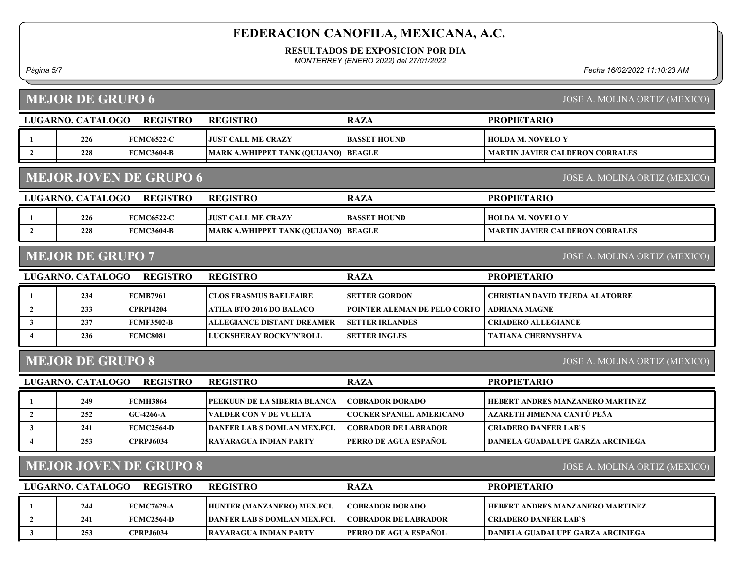#### RESULTADOS DE EXPOSICION POR DIA

MONTERREY (ENERO 2022) del 27/01/2022

Página 5/7 Fecha 16/02/2022 11:10:23 AM

|                | <b>MEJOR DE GRUPO 6</b>                                        |                               |                                             |                                 | JOSE A. MOLINA ORTIZ (MEXICO)            |  |  |  |
|----------------|----------------------------------------------------------------|-------------------------------|---------------------------------------------|---------------------------------|------------------------------------------|--|--|--|
|                | LUGARNO. CATALOGO                                              | <b>REGISTRO</b>               | <b>REGISTRO</b>                             | <b>RAZA</b>                     | <b>PROPIETARIO</b>                       |  |  |  |
| 1              | 226                                                            | <b>FCMC6522-C</b>             | <b>JUST CALL ME CRAZY</b>                   | <b>BASSET HOUND</b>             | <b>HOLDA M. NOVELO Y</b>                 |  |  |  |
| $\overline{2}$ | 228                                                            | <b>FCMC3604-B</b>             | <b>MARK A.WHIPPET TANK (QUIJANO) BEAGLE</b> |                                 | <b>MARTIN JAVIER CALDERON CORRALES</b>   |  |  |  |
|                |                                                                | <b>MEJOR JOVEN DE GRUPO 6</b> |                                             |                                 | JOSE A. MOLINA ORTIZ (MEXICO)            |  |  |  |
|                | LUGARNO. CATALOGO                                              | <b>REGISTRO</b>               | <b>REGISTRO</b>                             | <b>RAZA</b>                     | <b>PROPIETARIO</b>                       |  |  |  |
| 1              | 226                                                            | <b>FCMC6522-C</b>             | <b>JUST CALL ME CRAZY</b>                   | <b>BASSET HOUND</b>             | <b>HOLDA M. NOVELO Y</b>                 |  |  |  |
| $\overline{2}$ | 228                                                            | <b>FCMC3604-B</b>             | <b>MARK A.WHIPPET TANK (QUIJANO)</b>        | <b>BEAGLE</b>                   | <b>MARTIN JAVIER CALDERON CORRALES</b>   |  |  |  |
|                | <b>MEJOR DE GRUPO 7</b>                                        |                               |                                             |                                 | JOSE A. MOLINA ORTIZ (MEXICO)            |  |  |  |
|                | LUGARNO. CATALOGO                                              | <b>REGISTRO</b>               | <b>REGISTRO</b>                             | <b>RAZA</b>                     | <b>PROPIETARIO</b>                       |  |  |  |
| 1              | 234                                                            | <b>FCMB7961</b>               | <b>CLOS ERASMUS BAELFAIRE</b>               | <b>SETTER GORDON</b>            | <b>CHRISTIAN DAVID TEJEDA ALATORRE</b>   |  |  |  |
| $\overline{2}$ | 233                                                            | <b>CPRPI4204</b>              | ATILA BTO 2016 DO BALACO                    | POINTER ALEMAN DE PELO CORTO    | <b>ADRIANA MAGNE</b>                     |  |  |  |
| 3 <sup>1</sup> | 237                                                            | <b>FCMF3502-B</b>             | <b>ALLEGIANCE DISTANT DREAMER</b>           | <b>SETTER IRLANDES</b>          | <b>CRIADERO ALLEGIANCE</b>               |  |  |  |
| $\overline{4}$ | 236                                                            | <b>FCMC8081</b>               | LUCKSHERAY ROCKY'N'ROLL                     | <b>SETTER INGLES</b>            | <b>TATIANA CHERNYSHEVA</b>               |  |  |  |
|                | <b>MEJOR DE GRUPO 8</b><br>JOSE A. MOLINA ORTIZ (MEXICO)       |                               |                                             |                                 |                                          |  |  |  |
|                | LUGARNO. CATALOGO                                              | <b>REGISTRO</b>               | <b>REGISTRO</b>                             | <b>RAZA</b>                     | <b>PROPIETARIO</b>                       |  |  |  |
| 1              | 249                                                            | <b>FCMH3864</b>               | PEEKUUN DE LA SIBERIA BLANCA                | <b>COBRADOR DORADO</b>          | HEBERT ANDRES MANZANERO MARTINEZ         |  |  |  |
| $\overline{2}$ | 252                                                            | GC-4266-A                     | <b>VALDER CON V DE VUELTA</b>               | <b>COCKER SPANIEL AMERICANO</b> | AZARETH JIMENNA CANTÚ PEÑA               |  |  |  |
| 3 <sup>1</sup> | 241                                                            | <b>FCMC2564-D</b>             | <b>DANFER LAB S DOMLAN MEX.FCI.</b>         | <b>COBRADOR DE LABRADOR</b>     | <b>CRIADERO DANFER LAB'S</b>             |  |  |  |
|                | 253                                                            | <b>CPRPJ6034</b>              | RAYARAGUA INDIAN PARTY                      | PERRO DE AGUA ESPAÑOL           | DANIELA GUADALUPE GARZA ARCINIEGA        |  |  |  |
|                | <b>MEJOR JOVEN DE GRUPO 8</b><br>JOSE A. MOLINA ORTIZ (MEXICO) |                               |                                             |                                 |                                          |  |  |  |
|                | LUGARNO. CATALOGO                                              | <b>REGISTRO</b>               | <b>REGISTRO</b>                             | <b>RAZA</b>                     | <b>PROPIETARIO</b>                       |  |  |  |
| 1              | 244                                                            | <b>FCMC7629-A</b>             | HUNTER (MANZANERO) MEX.FCI.                 | <b>COBRADOR DORADO</b>          | HEBERT ANDRES MANZANERO MARTINEZ         |  |  |  |
| $\mathbf{2}$   | 241                                                            | <b>FCMC2564-D</b>             | <b>DANFER LAB S DOMLAN MEX.FCI.</b>         | <b>COBRADOR DE LABRADOR</b>     | <b>CRIADERO DANFER LAB'S</b>             |  |  |  |
| $\overline{3}$ | 253                                                            | <b>CPRPJ6034</b>              | RAYARAGUA INDIAN PARTY                      | PERRO DE AGUA ESPAÑOL           | <b>DANIELA GUADALUPE GARZA ARCINIEGA</b> |  |  |  |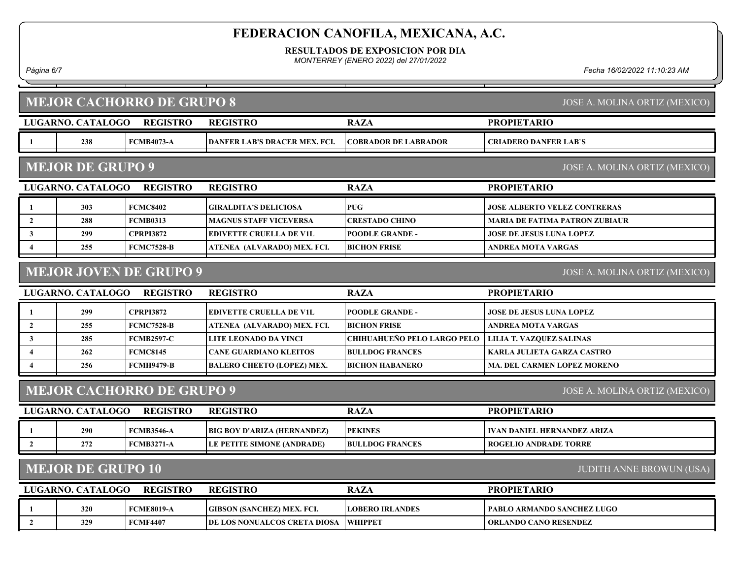RESULTADOS DE EXPOSICION POR DIA

MONTERREY (ENERO 2022) del 27/01/2022

Página 6/7 Fecha 16/02/2022 11:10:23 AM

|                         |                                                             | <b>MEJOR CACHORRO DE GRUPO 8</b> |                                      |                             | JOSE A. MOLINA ORTIZ (MEXICO)         |  |  |  |
|-------------------------|-------------------------------------------------------------|----------------------------------|--------------------------------------|-----------------------------|---------------------------------------|--|--|--|
|                         | LUGARNO. CATALOGO                                           | <b>REGISTRO</b>                  | <b>REGISTRO</b>                      | <b>RAZA</b>                 | <b>PROPIETARIO</b>                    |  |  |  |
| -1                      | 238                                                         | <b>FCMB4073-A</b>                | <b>DANFER LAB'S DRACER MEX. FCI.</b> | <b>COBRADOR DE LABRADOR</b> | <b>CRIADERO DANFER LAB'S</b>          |  |  |  |
|                         | <b>MEJOR DE GRUPO 9</b>                                     |                                  |                                      |                             | JOSE A. MOLINA ORTIZ (MEXICO)         |  |  |  |
|                         | LUGARNO. CATALOGO                                           | <b>REGISTRO</b>                  | <b>REGISTRO</b>                      | <b>RAZA</b>                 | <b>PROPIETARIO</b>                    |  |  |  |
| -1                      | 303                                                         | <b>FCMC8402</b>                  | <b>GIRALDITA'S DELICIOSA</b>         | <b>PUG</b>                  | <b>JOSE ALBERTO VELEZ CONTRERAS</b>   |  |  |  |
| $\overline{2}$          | 288                                                         | <b>FCMB0313</b>                  | <b>MAGNUS STAFF VICEVERSA</b>        | <b>CRESTADO CHINO</b>       | <b>MARIA DE FATIMA PATRON ZUBIAUR</b> |  |  |  |
| 3                       | 299                                                         | <b>CPRPI3872</b>                 | <b>EDIVETTE CRUELLA DE V1L</b>       | <b>POODLE GRANDE -</b>      | <b>JOSE DE JESUS LUNA LOPEZ</b>       |  |  |  |
| $\overline{\mathbf{4}}$ | 255                                                         | <b>FCMC7528-B</b>                | ATENEA (ALVARADO) MEX. FCI.          | <b>BICHON FRISE</b>         | <b>ANDREA MOTA VARGAS</b>             |  |  |  |
|                         |                                                             | <b>MEJOR JOVEN DE GRUPO 9</b>    |                                      |                             | JOSE A. MOLINA ORTIZ (MEXICO)         |  |  |  |
|                         | LUGARNO. CATALOGO                                           | <b>REGISTRO</b>                  | <b>REGISTRO</b>                      | <b>RAZA</b>                 | <b>PROPIETARIO</b>                    |  |  |  |
| -1                      | 299                                                         | <b>CPRPI3872</b>                 | <b>EDIVETTE CRUELLA DE V1L</b>       | <b>POODLE GRANDE -</b>      | <b>JOSE DE JESUS LUNA LOPEZ</b>       |  |  |  |
| $\overline{2}$          | 255                                                         | <b>FCMC7528-B</b>                | ATENEA (ALVARADO) MEX. FCI.          | <b>BICHON FRISE</b>         | <b>ANDREA MOTA VARGAS</b>             |  |  |  |
| 3                       | 285                                                         | <b>FCMB2597-C</b>                | LITE LEONADO DA VINCI                | CHIHUAHUEÑO PELO LARGO PELO | <b>LILIA T. VAZQUEZ SALINAS</b>       |  |  |  |
| $\overline{\mathbf{4}}$ | 262                                                         | <b>FCMC8145</b>                  | <b>CANE GUARDIANO KLEITOS</b>        | <b>BULLDOG FRANCES</b>      | <b>KARLA JULIETA GARZA CASTRO</b>     |  |  |  |
|                         | 256                                                         | <b>FCMH9479-В</b>                | <b>BALERO CHEETO (LOPEZ) MEX.</b>    | <b>BICHON HABANERO</b>      | MA. DEL CARMEN LOPEZ MORENO           |  |  |  |
|                         |                                                             | <b>MEJOR CACHORRO DE GRUPO 9</b> |                                      |                             | JOSE A. MOLINA ORTIZ (MEXICO)         |  |  |  |
|                         | LUGARNO. CATALOGO                                           | <b>REGISTRO</b>                  | <b>REGISTRO</b>                      | <b>RAZA</b>                 | <b>PROPIETARIO</b>                    |  |  |  |
|                         | 290                                                         | <b>FCMB3546-A</b>                | BIG BOY D'ARIZA (HERNANDEZ)          | <b>PEKINES</b>              | <b>IVAN DANIEL HERNANDEZ ARIZA</b>    |  |  |  |
| $\overline{2}$          | 272                                                         | <b>FCMB3271-A</b>                | LE PETITE SIMONE (ANDRADE)           | <b>BULLDOG FRANCES</b>      | <b>ROGELIO ANDRADE TORRE</b>          |  |  |  |
|                         | <b>MEJOR DE GRUPO 10</b><br><b>JUDITH ANNE BROWUN (USA)</b> |                                  |                                      |                             |                                       |  |  |  |
|                         | LUGARNO. CATALOGO                                           | <b>REGISTRO</b>                  | <b>REGISTRO</b>                      | <b>RAZA</b>                 | <b>PROPIETARIO</b>                    |  |  |  |
|                         | 320                                                         | <b>FCME8019-A</b>                | GIBSON (SANCHEZ) MEX. FCI.           | <b>LOBERO IRLANDES</b>      | PABLO ARMANDO SANCHEZ LUGO            |  |  |  |
| $\overline{2}$          | 329                                                         | <b>FCMF4407</b>                  | <b>DE LOS NONUALCOS CRETA DIOSA</b>  | <b>WHIPPET</b>              | <b>ORLANDO CANO RESENDEZ</b>          |  |  |  |